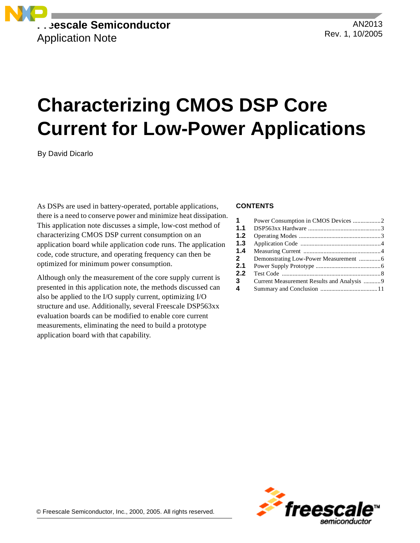

# **Characterizing CMOS DSP Core Current for Low-Power Applications**

By David Dicarlo

As DSPs are used in battery-operated, portable applications, there is a need to conserve power and minimize heat dissipation. This application note discusses a simple, low-cost method of characterizing CMOS DSP current consumption on an application board while application code runs. The application code, code structure, and operating frequency can then be optimized for minimum power consumption.

Although only the measurement of the core supply current is presented in this application note, the methods discussed can also be applied to the I/O supply current, optimizing I/O structure and use. Additionally, several Freescale DSP563xx evaluation boards can be modified to enable core current measurements, eliminating the need to build a prototype application board with that capability.

### **CONTENTS**

| 1            |                                            |  |
|--------------|--------------------------------------------|--|
| 1.1          |                                            |  |
| 1.2          |                                            |  |
| 1.3          |                                            |  |
| 1.4          |                                            |  |
| $\mathbf{2}$ |                                            |  |
| 2.1          |                                            |  |
| 2.2          |                                            |  |
| 3            | Current Measurement Results and Analysis 9 |  |
| 4            |                                            |  |

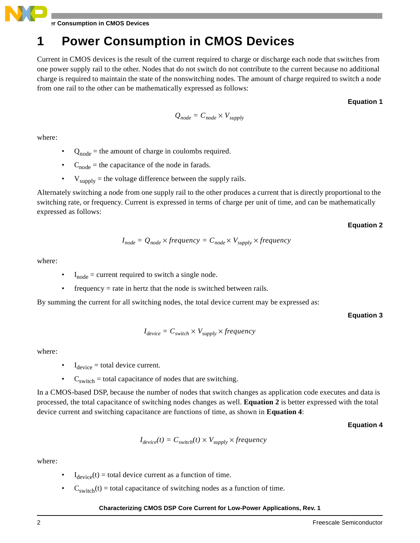## **1 Power Consumption in CMOS Devices**

Current in CMOS devices is the result of the current required to charge or discharge each node that switches from one power supply rail to the other. Nodes that do not switch do not contribute to the current because no additional charge is required to maintain the state of the nonswitching nodes. The amount of charge required to switch a node from one rail to the other can be mathematically expressed as follows:

 **Equation 1**

$$
Q_{node} = C_{node} \times V_{supply}
$$

where:

- $Q_{\text{node}}$  = the amount of charge in coulombs required.
- $C_{\text{node}}$  = the capacitance of the node in farads.
- $V_{\text{sunblv}}$  = the voltage difference between the supply rails.

<span id="page-1-1"></span>Alternately switching a node from one supply rail to the other produces a current that is directly proportional to the switching rate, or frequency. Current is expressed in terms of charge per unit of time, and can be mathematically expressed as follows:

 **Equation 2**

$$
I_{node} = Q_{node} \times frequency = C_{node} \times V_{supply} \times frequency
$$

where:

- $I_{\text{node}}$  = current required to switch a single node.
- frequency  $=$  rate in hertz that the node is switched between rails.

By summing the current for all switching nodes, the total device current may be expressed as:

 **Equation 3**

$$
I_{device} = C_{switch} \times V_{supply} \times frequency
$$

where:

- $I_{\text{device}} = \text{total device current.}$
- $C_{switch}$  = total capacitance of nodes that are switching.

<span id="page-1-0"></span>In a CMOS-based DSP, because the number of nodes that switch changes as application code executes and data is processed, the total capacitance of switching nodes changes as well. **[Equation 2](#page-1-1)** is better expressed with the total device current and switching capacitance are functions of time, as shown in **[Equation 4](#page-1-0)**:

 **Equation 4**

$$
I_{device}(t) = C_{switch}(t) \times V_{supply} \times frequency
$$

where:

- $I_{\text{device}}(t) = \text{total device current as a function of time.}$
- $C_{switch}(t) =$  total capacitance of switching nodes as a function of time.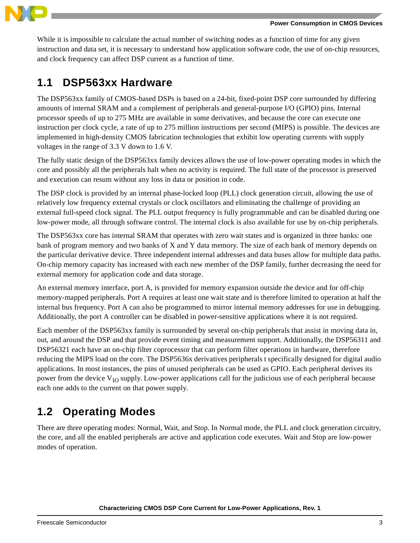

While it is impossible to calculate the actual number of switching nodes as a function of time for any given instruction and data set, it is necessary to understand how application software code, the use of on-chip resources, and clock frequency can affect DSP current as a function of time.

### **1.1 DSP563xx Hardware**

The DSP563xx family of CMOS-based DSPs is based on a 24-bit, fixed-point DSP core surrounded by differing amounts of internal SRAM and a complement of peripherals and general-purpose I/O (GPIO) pins. Internal processor speeds of up to 275 MHz are available in some derivatives, and because the core can execute one instruction per clock cycle, a rate of up to 275 million instructions per second (MIPS) is possible. The devices are implemented in high-density CMOS fabrication technologies that exhibit low operating currents with supply voltages in the range of 3.3 V down to 1.6 V.

The fully static design of the DSP563xx family devices allows the use of low-power operating modes in which the core and possibly all the peripherals halt when no activity is required. The full state of the processor is preserved and execution can resum without any loss in data or position in code.

The DSP clock is provided by an internal phase-locked loop (PLL) clock generation circuit, allowing the use of relatively low frequency external crystals or clock oscillators and eliminating the challenge of providing an external full-speed clock signal. The PLL output frequency is fully programmable and can be disabled during one low-power mode, all through software control. The internal clock is also available for use by on-chip peripherals.

The DSP563xx core has internal SRAM that operates with zero wait states and is organized in three banks: one bank of program memory and two banks of X and Y data memory. The size of each bank of memory depends on the particular derivative device. Three independent internal addresses and data buses allow for multiple data paths. On-chip memory capacity has increased with each new member of the DSP family, further decreasing the need for external memory for application code and data storage.

An external memory interface, port A, is provided for memory expansion outside the device and for off-chip memory-mapped peripherals. Port A requires at least one wait state and is therefore limited to operation at half the internal bus frequency. Port A can also be programmed to mirror internal memory addresses for use in debugging. Additionally, the port A controller can be disabled in power-sensitive applications where it is not required.

Each member of the DSP563xx family is surrounded by several on-chip peripherals that assist in moving data in, out, and around the DSP and that provide event timing and measurement support. Additionally, the DSP56311 and DSP56321 each have an on-chip filter coprocessor that can perform filter operations in hardware, therefore reducing the MIPS load on the core. The DSP5636x derivatives peripherals t specifically designed for digital audio applications. In most instances, the pins of unused peripherals can be used as GPIO. Each peripheral derives its power from the device V<sub>IO</sub> supply. Low-power applications call for the judicious use of each peripheral because each one adds to the current on that power supply.

### **1.2 Operating Modes**

There are three operating modes: Normal, Wait, and Stop. In Normal mode, the PLL and clock generation circuitry, the core, and all the enabled peripherals are active and application code executes. Wait and Stop are low-power modes of operation.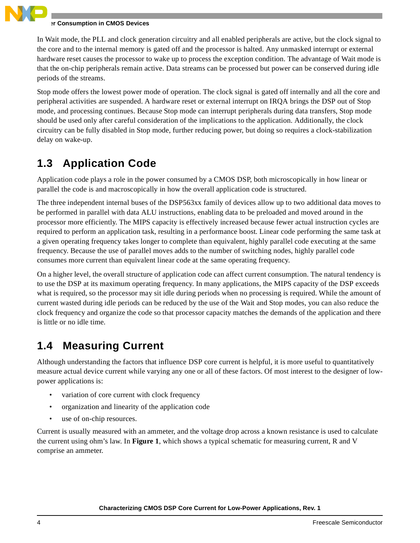

### **Pr Consumption in CMOS Devices**

In Wait mode, the PLL and clock generation circuitry and all enabled peripherals are active, but the clock signal to the core and to the internal memory is gated off and the processor is halted. Any unmasked interrupt or external hardware reset causes the processor to wake up to process the exception condition. The advantage of Wait mode is that the on-chip peripherals remain active. Data streams can be processed but power can be conserved during idle periods of the streams.

Stop mode offers the lowest power mode of operation. The clock signal is gated off internally and all the core and peripheral activities are suspended. A hardware reset or external interrupt on IRQA brings the DSP out of Stop mode, and processing continues. Because Stop mode can interrupt peripherals during data transfers, Stop mode should be used only after careful consideration of the implications to the application. Additionally, the clock circuitry can be fully disabled in Stop mode, further reducing power, but doing so requires a clock-stabilization delay on wake-up.

### **1.3 Application Code**

Application code plays a role in the power consumed by a CMOS DSP, both microscopically in how linear or parallel the code is and macroscopically in how the overall application code is structured.

The three independent internal buses of the DSP563xx family of devices allow up to two additional data moves to be performed in parallel with data ALU instructions, enabling data to be preloaded and moved around in the processor more efficiently. The MIPS capacity is effectively increased because fewer actual instruction cycles are required to perform an application task, resulting in a performance boost. Linear code performing the same task at a given operating frequency takes longer to complete than equivalent, highly parallel code executing at the same frequency. Because the use of parallel moves adds to the number of switching nodes, highly parallel code consumes more current than equivalent linear code at the same operating frequency.

On a higher level, the overall structure of application code can affect current consumption. The natural tendency is to use the DSP at its maximum operating frequency. In many applications, the MIPS capacity of the DSP exceeds what is required, so the processor may sit idle during periods when no processing is required. While the amount of current wasted during idle periods can be reduced by the use of the Wait and Stop modes, you can also reduce the clock frequency and organize the code so that processor capacity matches the demands of the application and there is little or no idle time.

### **1.4 Measuring Current**

Although understanding the factors that influence DSP core current is helpful, it is more useful to quantitatively measure actual device current while varying any one or all of these factors. Of most interest to the designer of lowpower applications is:

- variation of core current with clock frequency
- organization and linearity of the application code
- use of on-chip resources.

Current is usually measured with an ammeter, and the voltage drop across a known resistance is used to calculate the current using ohm's law. In **[Figure 1](#page-4-0)**, which shows a typical schematic for measuring current, R and V comprise an ammeter.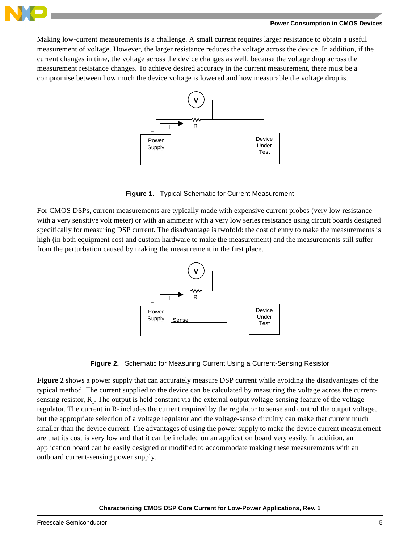

#### **Power Consumption in CMOS Devices**

Making low-current measurements is a challenge. A small current requires larger resistance to obtain a useful measurement of voltage. However, the larger resistance reduces the voltage across the device. In addition, if the current changes in time, the voltage across the device changes as well, because the voltage drop across the measurement resistance changes. To achieve desired accuracy in the current measurement, there must be a compromise between how much the device voltage is lowered and how measurable the voltage drop is.



**Figure 1.** Typical Schematic for Current Measurement

<span id="page-4-0"></span>For CMOS DSPs, current measurements are typically made with expensive current probes (very low resistance with a very sensitive volt meter) or with an ammeter with a very low series resistance using circuit boards designed specifically for measuring DSP current. The disadvantage is twofold: the cost of entry to make the measurements is high (in both equipment cost and custom hardware to make the measurement) and the measurements still suffer from the perturbation caused by making the measurement in the first place.



**Figure 2.** Schematic for Measuring Current Using a Current-Sensing Resistor

<span id="page-4-1"></span>**[Figure 2](#page-4-1)** shows a power supply that can accurately measure DSP current while avoiding the disadvantages of the typical method. The current supplied to the device can be calculated by measuring the voltage across the currentsensing resistor, R<sub>I</sub>. The output is held constant via the external output voltage-sensing feature of the voltage regulator. The current in  $R_I$  includes the current required by the regulator to sense and control the output voltage, but the appropriate selection of a voltage regulator and the voltage-sense circuitry can make that current much smaller than the device current. The advantages of using the power supply to make the device current measurement are that its cost is very low and that it can be included on an application board very easily. In addition, an application board can be easily designed or modified to accommodate making these measurements with an outboard current-sensing power supply.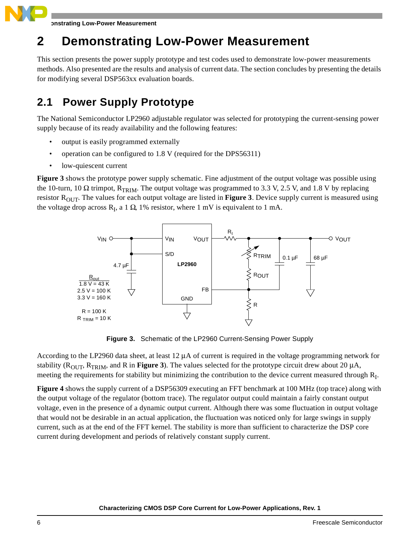## **2 Demonstrating Low-Power Measurement**

This section presents the power supply prototype and test codes used to demonstrate low-power measurements methods. Also presented are the results and analysis of current data. The section concludes by presenting the details for modifying several DSP563xx evaluation boards.

### **2.1 Power Supply Prototype**

The National Semiconductor LP2960 adjustable regulator was selected for prototyping the current-sensing power supply because of its ready availability and the following features:

- output is easily programmed externally
- operation can be configured to 1.8 V (required for the DPS56311)
- low-quiescent current

**[Figure 3](#page-5-0)** shows the prototype power supply schematic. Fine adjustment of the output voltage was possible using the 10-turn, 10  $\Omega$  trimpot, R<sub>TRIM</sub>. The output voltage was programmed to 3.3 V, 2.5 V, and 1.8 V by replacing resistor  $R_{\text{OUT}}$ . The values for each output voltage are listed in **[Figure 3](#page-5-0)**. Device supply current is measured using the voltage drop across  $R_I$ , a 1  $\Omega$ , 1% resistor, where 1 mV is equivalent to 1 mA.



**Figure 3.** Schematic of the LP2960 Current-Sensing Power Supply

<span id="page-5-0"></span>According to the LP2960 data sheet, at least 12 µA of current is required in the voltage programming network for stability ( $R_{\text{OUT}}$ ,  $R_{TRIM}$ , and R in **[Figure 3](#page-5-0)**). The values selected for the prototype circuit drew about 20  $\mu$ A, meeting the requirements for stability but minimizing the contribution to the device current measured through  $R_I$ .

**[Figure 4](#page-6-0)** shows the supply current of a DSP56309 executing an FFT benchmark at 100 MHz (top trace) along with the output voltage of the regulator (bottom trace). The regulator output could maintain a fairly constant output voltage, even in the presence of a dynamic output current. Although there was some fluctuation in output voltage that would not be desirable in an actual application, the fluctuation was noticed only for large swings in supply current, such as at the end of the FFT kernel. The stability is more than sufficient to characterize the DSP core current during development and periods of relatively constant supply current.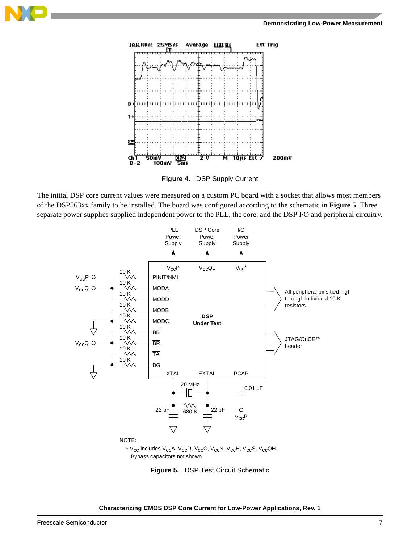



**Figure 4.** DSP Supply Current

<span id="page-6-0"></span>The initial DSP core current values were measured on a custom PC board with a socket that allows most members of the DSP563xx family to be installed. The board was configured according to the schematic in **[Figure 5](#page-6-1)**. Three separate power supplies supplied independent power to the PLL, the core, and the DSP I/O and peripheral circuitry.



<span id="page-6-1"></span>**Figure 5.** DSP Test Circuit Schematic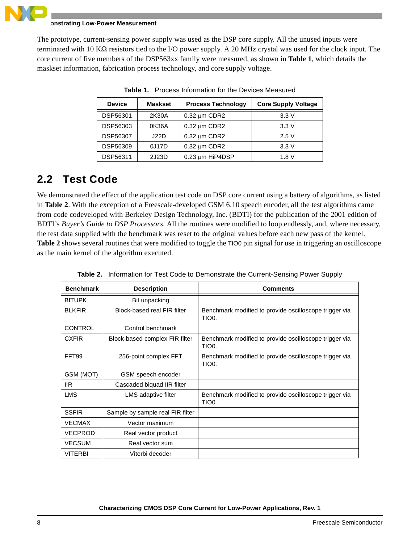

### **Demonstrating Low-Power Measurement**

<span id="page-7-0"></span>The prototype, current-sensing power supply was used as the DSP core supply. All the unused inputs were terminated with 10 K $\Omega$  resistors tied to the I/O power supply. A 20 MHz crystal was used for the clock input. The core current of five members of the DSP563xx family were measured, as shown in **[Table 1](#page-7-0)**, which details the maskset information, fabrication process technology, and core supply voltage.

| <b>Device</b>   | <b>Maskset</b> | <b>Process Technology</b> | <b>Core Supply Voltage</b> |
|-----------------|----------------|---------------------------|----------------------------|
| DSP56301        | 2K30A          | $0.32 \mu m$ CDR2         | 3.3V                       |
| DSP56303        | 0K36A          | $0.32 \mu m$ CDR2         | 3.3V                       |
| <b>DSP56307</b> | J22D           | $0.32 \mu m$ CDR2         | 2.5V                       |
| DSP56309        | 0J17D          | $0.32 \mu m$ CDR2         | 3.3V                       |
| DSP56311        | 2J23D          | 0.23 um HiP4DSP           | 1.8V                       |

**Table 1.** Process Information for the Devices Measured

### **2.2 Test Code**

We demonstrated the effect of the application test code on DSP core current using a battery of algorithms, as listed in **[Table 2](#page-7-1)**. With the exception of a Freescale-developed GSM 6.10 speech encoder, all the test algorithms came from code codeveloped with Berkeley Design Technology, Inc. (BDTI) for the publication of the 2001 edition of BDTI's *Buyer's Guide to DSP Processors*. All the routines were modified to loop endlessly, and, where necessary, the test data supplied with the benchmark was reset to the original values before each new pass of the kernel. **[Table 2](#page-7-1)** shows several routines that were modified to toggle the TIO0 pin signal for use in triggering an oscilloscope as the main kernel of the algorithm executed.

<span id="page-7-1"></span>

| <b>Benchmark</b> | <b>Description</b>               | <b>Comments</b>                                                            |
|------------------|----------------------------------|----------------------------------------------------------------------------|
| <b>BITUPK</b>    | Bit unpacking                    |                                                                            |
| <b>BLKFIR</b>    | Block-based real FIR filter      | Benchmark modified to provide oscilloscope trigger via<br>TIO <sub>0</sub> |
| <b>CONTROL</b>   | Control benchmark                |                                                                            |
| <b>CXFIR</b>     | Block-based complex FIR filter   | Benchmark modified to provide oscilloscope trigger via<br>TIO <sub>0</sub> |
| FFT99            | 256-point complex FFT            | Benchmark modified to provide oscilloscope trigger via<br>TIO <sub>0</sub> |
| GSM (MOT)        | GSM speech encoder               |                                                                            |
| llR.             | Cascaded biquad IIR filter       |                                                                            |
| <b>LMS</b>       | LMS adaptive filter              | Benchmark modified to provide oscilloscope trigger via<br>TIO <sub>0</sub> |
| <b>SSFIR</b>     | Sample by sample real FIR filter |                                                                            |
| <b>VECMAX</b>    | Vector maximum                   |                                                                            |
| <b>VECPROD</b>   | Real vector product              |                                                                            |
| <b>VECSUM</b>    | Real vector sum                  |                                                                            |
| <b>VITERBI</b>   | Viterbi decoder                  |                                                                            |

**Table 2.** Information for Test Code to Demonstrate the Current-Sensing Power Supply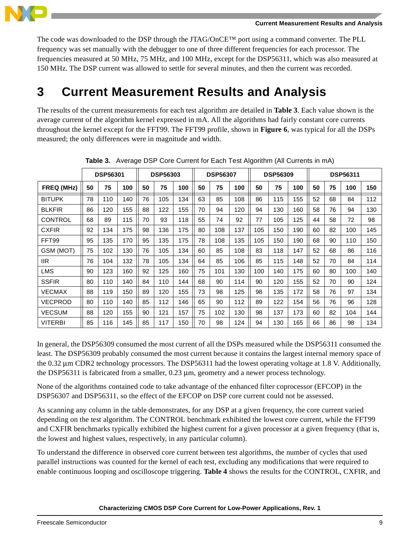

The code was downloaded to the DSP through the JTAG/OnCE™ port using a command converter. The PLL frequency was set manually with the debugger to one of three different frequencies for each processor. The frequencies measured at 50 MHz, 75 MHz, and 100 MHz, except for the DSP56311, which was also measured at 150 MHz. The DSP current was allowed to settle for several minutes, and then the current was recorded.

## **3 Current Measurement Results and Analysis**

The results of the current measurements for each test algorithm are detailed in **[Table 3](#page-8-0)**. Each value shown is the average current of the algorithm kernel expressed in mA. All the algorithms had fairly constant core currents throughout the kernel except for the FFT99. The FFT99 profile, shown in **[Figure 6](#page-9-0)**, was typical for all the DSPs measured; the only differences were in magnitude and width.

<span id="page-8-0"></span>

|               | <b>DSP56301</b> |     |     | <b>DSP56303</b> |     |     | <b>DSP56307</b> |     | <b>DSP56309</b> |     |     | <b>DSP56311</b> |    |    |     |     |
|---------------|-----------------|-----|-----|-----------------|-----|-----|-----------------|-----|-----------------|-----|-----|-----------------|----|----|-----|-----|
| FREQ (MHz)    | 50              | 75  | 100 | 50              | 75  | 100 | 50              | 75  | 100             | 50  | 75  | 100             | 50 | 75 | 100 | 150 |
| <b>BITUPK</b> | 78              | 110 | 140 | 76              | 105 | 134 | 63              | 85  | 108             | 86  | 115 | 155             | 52 | 68 | 84  | 112 |
| <b>BLKFIR</b> | 86              | 120 | 155 | 88              | 122 | 155 | 70              | 94  | 120             | 94  | 130 | 160             | 58 | 76 | 94  | 130 |
| CONTROL       | 68              | 89  | 115 | 70              | 93  | 118 | 55              | 74  | 92              | 77  | 105 | 125             | 44 | 58 | 72  | 98  |
| CXFIR         | 92              | 134 | 175 | 98              | 136 | 175 | 80              | 108 | 137             | 105 | 150 | 190             | 60 | 82 | 100 | 145 |
| FFT99         | 95              | 135 | 170 | 95              | 135 | 175 | 78              | 108 | 135             | 105 | 150 | 190             | 68 | 90 | 110 | 150 |
| GSM (MOT)     | 75              | 102 | 130 | 76              | 105 | 134 | 60              | 85  | 108             | 83  | 118 | 147             | 52 | 68 | 86  | 116 |
| <b>IIR</b>    | 76              | 104 | 132 | 78              | 105 | 134 | 64              | 85  | 106             | 85  | 115 | 148             | 52 | 70 | 84  | 114 |
| <b>LMS</b>    | 90              | 123 | 160 | 92              | 125 | 160 | 75              | 101 | 130             | 100 | 140 | 175             | 60 | 80 | 100 | 140 |
| <b>SSFIR</b>  | 80              | 110 | 140 | 84              | 110 | 144 | 68              | 90  | 114             | 90  | 120 | 155             | 52 | 70 | 90  | 124 |
| VECMAX        | 88              | 119 | 150 | 89              | 120 | 155 | 73              | 98  | 125             | 98  | 135 | 172             | 58 | 76 | 97  | 134 |
| VECPROD       | 80              | 110 | 140 | 85              | 112 | 146 | 65              | 90  | 112             | 89  | 122 | 154             | 56 | 76 | 96  | 128 |
| VECSUM        | 88              | 120 | 155 | 90              | 121 | 157 | 75              | 102 | 130             | 98  | 137 | 173             | 60 | 82 | 104 | 144 |
| VITERBI       | 85              | 116 | 145 | 85              | 117 | 150 | 70              | 98  | 124             | 94  | 130 | 165             | 66 | 86 | 98  | 134 |

**Table 3.** Average DSP Core Current for Each Test Algorithm (All Currents in mA)

In general, the DSP56309 consumed the most current of all the DSPs measured while the DSP56311 consumed the least. The DSP56309 probably consumed the most current because it contains the largest internal memory space of the 0.32 µm CDR2 technology processors. The DSP56311 had the lowest operating voltage at 1.8 V. Additionally, the DSP56311 is fabricated from a smaller, 0.23 µm, geometry and a newer process technology.

None of the algorithms contained code to take advantage of the enhanced filter coprocessor (EFCOP) in the DSP56307 and DSP56311, so the effect of the EFCOP on DSP core current could not be assessed.

As scanning any column in the table demonstrates, for any DSP at a given frequency, the core current varied depending on the test algorithm. The CONTROL benchmark exhibited the lowest core current, while the FFT99 and CXFIR benchmarks typically exhibited the highest current for a given processor at a given frequency (that is, the lowest and highest values, respectively, in any particular column).

To understand the difference in observed core current between test algorithms, the number of cycles that used parallel instructions was counted for the kernel of each test, excluding any modifications that were required to enable continuous looping and oscilloscope triggering. **[Table 4](#page-9-1)** shows the results for the CONTROL, CXFIR, and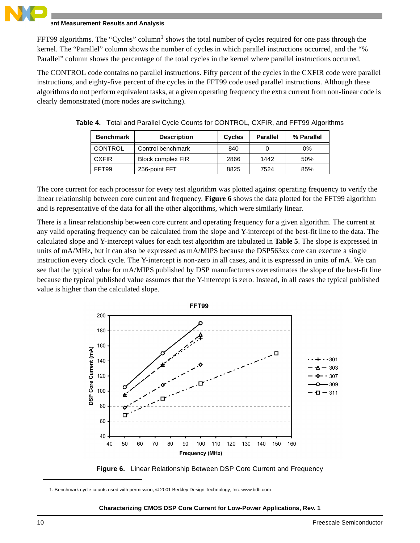### **EXTER IN MEASUREM PRESULTS AND MEASUREM**

FFT99 algorithms. The "Cycles" column<sup>1</sup> shows the total number of cycles required for one pass through the kernel. The "Parallel" column shows the number of cycles in which parallel instructions occurred, and the "% Parallel" column shows the percentage of the total cycles in the kernel where parallel instructions occurred.

The CONTROL code contains no parallel instructions. Fifty percent of the cycles in the CXFIR code were parallel instructions, and eighty-five percent of the cycles in the FFT99 code used parallel instructions. Although these algorithms do not perform equivalent tasks, at a given operating frequency the extra current from non-linear code is clearly demonstrated (more nodes are switching).

| <b>Benchmark</b> | <b>Description</b>       | Cycles | <b>Parallel</b> | % Parallel |
|------------------|--------------------------|--------|-----------------|------------|
| <b>CONTROL</b>   | Control benchmark        | 840    |                 | 0%         |
| <b>CXFIR</b>     | <b>Block complex FIR</b> | 2866   | 1442            | 50%        |
| FFT99            | 256-point FFT            | 8825   | 7524            | 85%        |

<span id="page-9-1"></span>

The core current for each processor for every test algorithm was plotted against operating frequency to verify the linear relationship between core current and frequency. **[Figure 6](#page-9-0)** shows the data plotted for the FFT99 algorithm and is representative of the data for all the other algorithms, which were similarly linear.

There is a linear relationship between core current and operating frequency for a given algorithm. The current at any valid operating frequency can be calculated from the slope and Y-intercept of the best-fit line to the data. The calculated slope and Y-intercept values for each test algorithm are tabulated in **[Table 5](#page-10-0)**. The slope is expressed in units of mA/MHz, but it can also be expressed as mA/MIPS because the DSP563xx core can execute a single instruction every clock cycle. The Y-intercept is non-zero in all cases, and it is expressed in units of mA. We can see that the typical value for mA/MIPS published by DSP manufacturers overestimates the slope of the best-fit line because the typical published value assumes that the Y-intercept is zero. Instead, in all cases the typical published value is higher than the calculated slope.



**Figure 6.** Linear Relationship Between DSP Core Current and Frequency

<span id="page-9-0"></span>1. Benchmark cycle counts used with permission, © 2001 Berkley Design Technology, Inc. www.bdti.com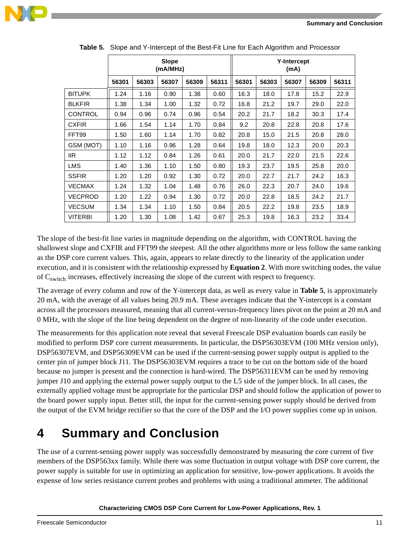

<span id="page-10-0"></span>

|                |       |       | <b>Slope</b><br>(mA/MHz) |       |       | <b>Y-Intercept</b><br>(mA) |       |       |       |       |  |  |
|----------------|-------|-------|--------------------------|-------|-------|----------------------------|-------|-------|-------|-------|--|--|
|                | 56301 | 56303 | 56307                    | 56309 | 56311 | 56301                      | 56303 | 56307 | 56309 | 56311 |  |  |
| <b>BITUPK</b>  | 1.24  | 1.16  | 0.90                     | 1.38  | 0.60  | 16.3                       | 18.0  | 17.8  | 15.2  | 22.9  |  |  |
| <b>BLKFIR</b>  | 1.38  | 1.34  | 1.00                     | 1.32  | 0.72  | 16.8                       | 21.2  | 19.7  | 29.0  | 22.0  |  |  |
| CONTROL        | 0.94  | 0.96  | 0.74                     | 0.96  | 0.54  | 20.2                       | 21.7  | 18.2  | 30.3  | 17.4  |  |  |
| <b>CXFIR</b>   | 1.66  | 1.54  | 1.14                     | 1.70  | 0.84  | 9.2                        | 20.8  | 22.8  | 20.8  | 17.6  |  |  |
| FFT99          | 1.50  | 1.60  | 1.14                     | 1.70  | 0.82  | 20.8                       | 15.0  | 21.5  | 20.8  | 28.0  |  |  |
| GSM (MOT)      | 1.10  | 1.16  | 0.96                     | 1.28  | 0.64  | 19.8                       | 18.0  | 12.3  | 20.0  | 20.3  |  |  |
| llR.           | 1.12  | 1.12  | 0.84                     | 1.26  | 0.61  | 20.0                       | 21.7  | 22.0  | 21.5  | 22.6  |  |  |
| <b>LMS</b>     | 1.40  | 1.36  | 1.10                     | 1.50  | 0.80  | 19.3                       | 23.7  | 19.5  | 25.8  | 20.0  |  |  |
| <b>SSFIR</b>   | 1.20  | 1.20  | 0.92                     | 1.30  | 0.72  | 20.0                       | 22.7  | 21.7  | 24.2  | 16.3  |  |  |
| <b>VECMAX</b>  | 1.24  | 1.32  | 1.04                     | 1.48  | 0.76  | 26.0                       | 22.3  | 20.7  | 24.0  | 19.6  |  |  |
| VECPROD        | 1.20  | 1.22  | 0.94                     | 1.30  | 0.72  | 20.0                       | 22.8  | 18.5  | 24.2  | 21.7  |  |  |
| <b>VECSUM</b>  | 1.34  | 1.34  | 1.10                     | 1.50  | 0.84  | 20.5                       | 22.2  | 19.8  | 23.5  | 18.9  |  |  |
| <b>VITERBI</b> | 1.20  | 1.30  | 1.08                     | 1.42  | 0.67  | 25.3                       | 19.8  | 16.3  | 23.2  | 33.4  |  |  |

**Table 5.** Slope and Y-Intercept of the Best-Fit Line for Each Algorithm and Processor

The slope of the best-fit line varies in magnitude depending on the algorithm, with CONTROL having the shallowest slope and CXFIR and FFT99 the steepest. All the other algorithms more or less follow the same ranking as the DSP core current values. This, again, appears to relate directly to the linearity of the application under execution, and it is consistent with the relationship expressed by **[Equation 2](#page-1-1)**. With more switching nodes, the value of  $C_{switch}$  increases, effectively increasing the slope of the current with respect to frequency.

The average of every column and row of the Y-intercept data, as well as every value in **[Table 5](#page-10-0)**, is approximately 20 mA, with the average of all values being 20.9 mA. These averages indicate that the Y-intercept is a constant across all the processors measured, meaning that all current-versus-frequency lines pivot on the point at 20 mA and 0 MHz, with the slope of the line being dependent on the degree of non-linearity of the code under execution.

The measurements for this application note reveal that several Freescale DSP evaluation boards can easily be modified to perform DSP core current measurements. In particular, the DSP56303EVM (100 MHz version only), DSP56307EVM, and DSP56309EVM can be used if the current-sensing power supply output is applied to the center pin of jumper block J11. The DSP56303EVM requires a trace to be cut on the bottom side of the board because no jumper is present and the connection is hard-wired. The DSP56311EVM can be used by removing jumper J10 and applying the external power supply output to the L5 side of the jumper block. In all cases, the externally applied voltage must be appropriate for the particular DSP and should follow the application of power to the board power supply input. Better still, the input for the current-sensing power supply should be derived from the output of the EVM bridge rectifier so that the core of the DSP and the I/O power supplies come up in unison.

### **4 Summary and Conclusion**

The use of a current-sensing power supply was successfully demonstrated by measuring the core current of five members of the DSP563xx family. While there was some fluctuation in output voltage with DSP core current, the power supply is suitable for use in optimizing an application for sensitive, low-power applications. It avoids the expense of low series resistance current probes and problems with using a traditional ammeter. The additional